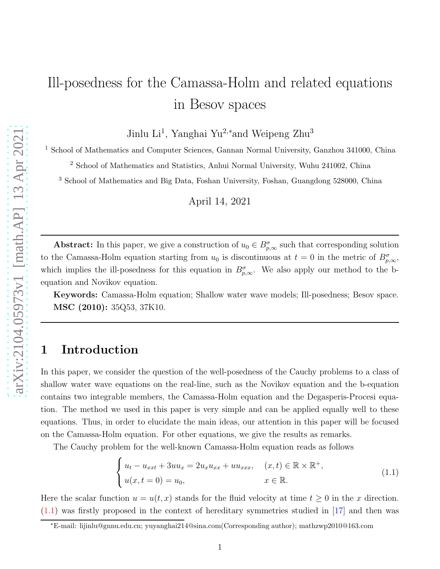# Ill-posedness for the Camassa-Holm and related equations in Besov spaces

Jinlu Li<sup>1</sup>, Yanghai Yu<sup>2,\*</sup>and Weipeng Zhu<sup>3</sup>

<sup>1</sup> School of Mathematics and Computer Sciences, Gannan Normal University, Ganzhou 341000, China

<sup>2</sup> School of Mathematics and Statistics, Anhui Normal University, Wuhu 241002, China

<sup>3</sup> School of Mathematics and Big Data, Foshan University, Foshan, Guangdong 528000, China

April 14, 2021

**Abstract:** In this paper, we give a construction of  $u_0 \in B^{\sigma}_{p,\infty}$  such that corresponding solution to the Camassa-Holm equation starting from  $u_0$  is discontinuous at  $t = 0$  in the metric of  $B_{p,\infty}^{\sigma}$ , which implies the ill-posedness for this equation in  $B_{p,\infty}^{\sigma}$ . We also apply our method to the bequation and Novikov equation.

Keywords: Camassa-Holm equation; Shallow water wave models; Ill-posedness; Besov space. MSC (2010): 35Q53, 37K10.

## 1 Introduction

In this paper, we consider the question of the well-posedness of the Cauchy problems to a class of shallow water wave equations on the real-line, such as the Novikov equation and the b-equation contains two integrable members, the Camassa-Holm equation and the Degasperis-Procesi equation. The method we used in this paper is very simple and can be applied equally well to these equations. Thus, in order to elucidate the main ideas, our attention in this paper will be focused on the Camassa-Holm equation. For other equations, we give the results as remarks.

The Cauchy problem for the well-known Camassa-Holm equation reads as follows

<span id="page-0-0"></span>
$$
\begin{cases}\n u_t - u_{xxt} + 3uu_x = 2u_x u_{xx} + uu_{xxx}, & (x, t) \in \mathbb{R} \times \mathbb{R}^+, \\
 u(x, t = 0) = u_0, & x \in \mathbb{R}.\n\end{cases}
$$
\n(1.1)

Here the scalar function  $u = u(t, x)$  stands for the fluid velocity at time  $t \geq 0$  in the x direction.  $(1.1)$  was firstly proposed in the context of hereditary symmetries studied in  $[17]$  and then was

<sup>∗</sup>E-mail: lijinlu@gnnu.edu.cn; yuyanghai214@sina.com(Corresponding author); mathzwp2010@163.com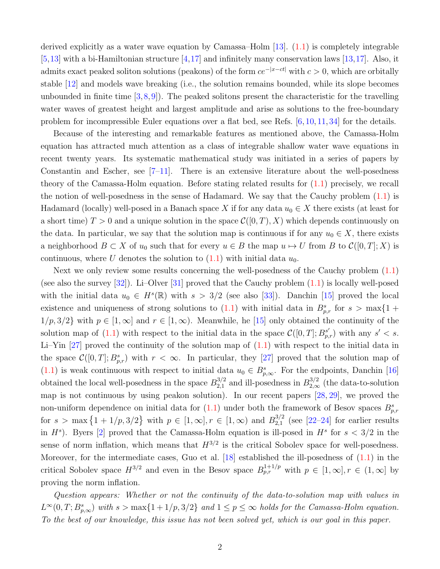derived explicitly as a water wave equation by Camassa–Holm [\[13\]](#page-12-1). [\(1.1\)](#page-0-0) is completely integrable  $[5,13]$  $[5,13]$  with a bi-Hamiltonian structure  $[4,17]$  $[4,17]$  and infinitely many conservation laws  $[13,17]$ . Also, it admits exact peaked soliton solutions (peakons) of the form  $ce^{-|x-ct|}$  with  $c > 0$ , which are orbitally stable [\[12\]](#page-12-4) and models wave breaking (i.e., the solution remains bounded, while its slope becomes unbounded in finite time  $(3,8,9)$  $(3,8,9)$  $(3,8,9)$ . The peaked solitons present the characteristic for the travelling water waves of greatest height and largest amplitude and arise as solutions to the free-boundary problem for incompressible Euler equations over a flat bed, see Refs. [\[6,](#page-12-8) [10,](#page-12-9) [11,](#page-12-10) [34\]](#page-13-0) for the details.

Because of the interesting and remarkable features as mentioned above, the Camassa-Holm equation has attracted much attention as a class of integrable shallow water wave equations in recent twenty years. Its systematic mathematical study was initiated in a series of papers by Constantin and Escher, see  $[7-11]$ . There is an extensive literature about the well-posedness theory of the Camassa-Holm equation. Before stating related results for [\(1.1\)](#page-0-0) precisely, we recall the notion of well-posedness in the sense of Hadamard. We say that the Cauchy problem  $(1.1)$  is Hadamard (locally) well-posed in a Banach space X if for any data  $u_0 \in X$  there exists (at least for a short time)  $T > 0$  and a unique solution in the space  $\mathcal{C}([0,T), X)$  which depends continuously on the data. In particular, we say that the solution map is continuous if for any  $u_0 \in X$ , there exists a neighborhood  $B \subset X$  of  $u_0$  such that for every  $u \in B$  the map  $u \mapsto U$  from B to  $\mathcal{C}([0, T]; X)$  is continuous, where U denotes the solution to  $(1.1)$  with initial data  $u_0$ .

Next we only review some results concerning the well-posedness of the Cauchy problem [\(1.1\)](#page-0-0) (see also the survey  $[32]$ ). Li–Olver  $[31]$  proved that the Cauchy problem  $(1.1)$  is locally well-posed with the initial data  $u_0 \in H^s(\mathbb{R})$  with  $s > 3/2$  (see also [\[33\]](#page-13-3)). Danchin [\[15\]](#page-12-12) proved the local existence and uniqueness of strong solutions to  $(1.1)$  with initial data in  $B_{p,r}^s$  for  $s > \max\{1 + \frac{m}{2}\}$  $1/p, 3/2$  with  $p \in [1, \infty]$  and  $r \in [1, \infty)$ . Meanwhile, he [\[15\]](#page-12-12) only obtained the continuity of the solution map of [\(1.1\)](#page-0-0) with respect to the initial data in the space  $\mathcal{C}([0,T]; B_{p,r}^{s'})$  with any  $s' < s$ . Li–Yin  $[27]$  proved the continuity of the solution map of  $(1.1)$  with respect to the initial data in the space  $\mathcal{C}([0,T];B_{p,r}^s)$  with  $r < \infty$ . In particular, they [\[27\]](#page-13-4) proved that the solution map of [\(1.1\)](#page-0-0) is weak continuous with respect to initial data  $u_0 \in B^s_{p,\infty}$ . For the endpoints, Danchin [\[16\]](#page-12-13) obtained the local well-posedness in the space  $B_{2,1}^{3/2}$  $_{2,1}^{3/2}$  and ill-posedness in  $B_{2,\infty}^{3/2}$  (the data-to-solution map is not continuous by using peakon solution). In our recent papers [\[28,](#page-13-5) [29\]](#page-13-6), we proved the non-uniform dependence on initial data for  $(1.1)$  under both the framework of Besov spaces  $B_{p,r}^s$ for  $s > \max\{1 + 1/p, 3/2\}$  with  $p \in [1, \infty], r \in [1, \infty)$  and  $B_{2,1}^{3/2}$  $_{2,1}^{3/2}$  (see [\[22–](#page-13-7)[24\]](#page-13-8) for earlier results in  $H^s$ ). Byers [\[2\]](#page-12-14) proved that the Camassa-Holm equation is ill-posed in  $H^s$  for  $s < 3/2$  in the sense of norm inflation, which means that  $H^{3/2}$  is the critical Sobolev space for well-posedness. Moreover, for the intermediate cases, Guo et al.  $[18]$  established the ill-posedness of  $(1.1)$  in the critical Sobolev space  $H^{3/2}$  and even in the Besov space  $B_{p,r}^{1+1/p}$  with  $p \in [1,\infty], r \in (1,\infty]$  by proving the norm inflation.

Question appears: Whether or not the continuity of the data-to-solution map with values in  $L^{\infty}(0,T;B_{p,\infty}^s)$  with  $s > \max\{1+1/p,3/2\}$  and  $1 \leq p \leq \infty$  holds for the Camassa-Holm equation. To the best of our knowledge, this issue has not been solved yet, which is our goal in this paper.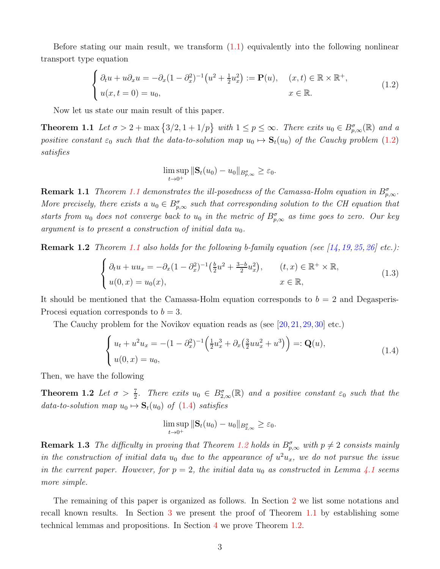Before stating our main result, we transform  $(1.1)$  equivalently into the following nonlinear transport type equation

$$
\begin{cases}\n\partial_t u + u \partial_x u = -\partial_x (1 - \partial_x^2)^{-1} \left( u^2 + \frac{1}{2} u_x^2 \right) := \mathbf{P}(u), & (x, t) \in \mathbb{R} \times \mathbb{R}^+, \\
u(x, t = 0) = u_0, & x \in \mathbb{R}.\n\end{cases}
$$
\n(1.2)

Now let us state our main result of this paper.

**Theorem 1.1** Let  $\sigma > 2 + \max\{3/2, 1 + 1/p\}$  with  $1 \leq p \leq \infty$ . There exits  $u_0 \in B^{\sigma}_{p,\infty}(\mathbb{R})$  and a positive constant  $\varepsilon_0$  such that the data-to-solution map  $u_0 \mapsto \mathbf{S}_t(u_0)$  of the Cauchy problem [\(1.2\)](#page-2-0) satisfies

<span id="page-2-1"></span><span id="page-2-0"></span>
$$
\limsup_{t\to 0^+} ||\mathbf{S}_t(u_0)-u_0||_{B_{p,\infty}^{\sigma}}\geq \varepsilon_0.
$$

**Remark [1.1](#page-2-1)** Theorem 1.1 demonstrates the ill-posedness of the Camassa-Holm equation in  $B_{p,\infty}^{\sigma}$ . More precisely, there exists a  $u_0 \in B_{p,\infty}^{\sigma}$  such that corresponding solution to the CH equation that starts from  $u_0$  does not converge back to  $u_0$  in the metric of  $B^{\sigma}_{p,\infty}$  as time goes to zero. Our key argument is to present a construction of initial data  $u_0$ .

**Remark 1.2** Theorem [1.1](#page-2-1) also holds for the following b-family equation (see [\[14,](#page-12-15) [19,](#page-13-10) [25,](#page-13-11) [26\]](#page-13-12) etc.):

$$
\begin{cases} \partial_t u + u u_x = -\partial_x (1 - \partial_x^2)^{-1} \left( \frac{b}{2} u^2 + \frac{3-b}{2} u_x^2 \right), & (t, x) \in \mathbb{R}^+ \times \mathbb{R}, \\ u(0, x) = u_0(x), & x \in \mathbb{R}, \end{cases}
$$
(1.3)

It should be mentioned that the Camassa-Holm equation corresponds to  $b = 2$  and Degasperis-Procesi equation corresponds to  $b = 3$ .

The Cauchy problem for the Novikov equation reads as (see [\[20,](#page-13-13) [21,](#page-13-14) [29,](#page-13-6) [30\]](#page-13-15) etc.)

<span id="page-2-3"></span>
$$
\begin{cases} u_t + u^2 u_x = -(1 - \partial_x^2)^{-1} \left( \frac{1}{2} u_x^3 + \partial_x \left( \frac{3}{2} u u_x^2 + u^3 \right) \right) =: \mathbf{Q}(u), \\ u(0, x) = u_0, \end{cases}
$$
 (1.4)

Then, we have the following

**Theorem 1.2** Let  $\sigma > \frac{7}{2}$ . There exits  $u_0 \in B_{2,\infty}^{\sigma}(\mathbb{R})$  and a positive constant  $\varepsilon_0$  such that the data-to-solution map  $u_0 \mapsto \mathbf{S}_t(u_0)$  of  $(1.4)$  satisfies

<span id="page-2-2"></span>
$$
\limsup_{t\to 0^+} ||\mathbf{S}_t(u_0)-u_0||_{B_{2,\infty}^{\sigma}} \geq \varepsilon_0.
$$

**Remark 1.3** The difficulty in proving that Theorem [1.2](#page-2-3) holds in  $B_{p,\infty}^{\sigma}$  with  $p \neq 2$  consists mainly in the construction of initial data  $u_0$  due to the appearance of  $u^2u_x$ , we do not pursue the issue in the current paper. However, for  $p = 2$ , the initial data  $u_0$  as constructed in Lemma [4.1](#page-9-0) seems more simple.

The remaining of this paper is organized as follows. In Section [2](#page-3-0) we list some notations and recall known results. In Section [3](#page-4-0) we present the proof of Theorem [1.1](#page-2-1) by establishing some technical lemmas and propositions. In Section [4](#page-9-1) we prove Theorem [1.2.](#page-2-3)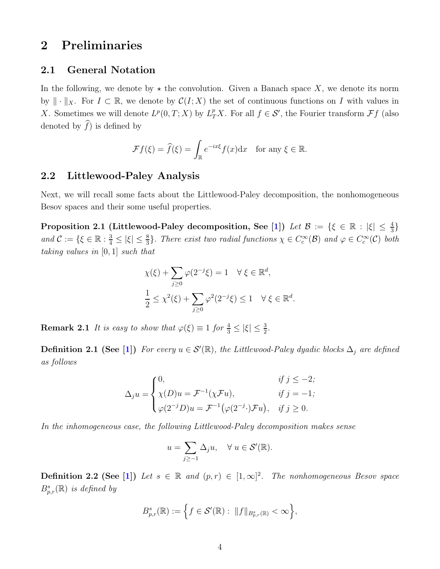## <span id="page-3-0"></span>2 Preliminaries

#### 2.1 General Notation

In the following, we denote by  $\star$  the convolution. Given a Banach space X, we denote its norm by  $\|\cdot\|_X$ . For  $I \subset \mathbb{R}$ , we denote by  $\mathcal{C}(I; X)$  the set of continuous functions on I with values in X. Sometimes we will denote  $L^p(0,T;X)$  by  $L^p_T X$ . For all  $f \in \mathcal{S}'$ , the Fourier transform  $\mathcal{F}f$  (also denoted by  $\widehat{f}$ ) is defined by

$$
\mathcal{F}f(\xi) = \widehat{f}(\xi) = \int_{\mathbb{R}} e^{-ix\xi} f(x) dx \text{ for any } \xi \in \mathbb{R}.
$$

#### 2.2 Littlewood-Paley Analysis

Next, we will recall some facts about the Littlewood-Paley decomposition, the nonhomogeneous Besov spaces and their some useful properties.

Proposition 2.1 (Littlewood-Paley decomposition, See [\[1\]](#page-12-16)) Let  $\mathcal{B} := \{ \xi \in \mathbb{R} : |\xi| \leq \frac{4}{3} \}$ and  $\mathcal{C} := \{ \xi \in \mathbb{R} : \frac{3}{4} \leq |\xi| \leq \frac{8}{3} \}$ . There exist two radial functions  $\chi \in C_c^{\infty}(\mathcal{B})$  and  $\varphi \in C_c^{\infty}(\mathcal{C})$  both taking values in [0, 1] such that

$$
\chi(\xi) + \sum_{j\geq 0} \varphi(2^{-j}\xi) = 1 \quad \forall \xi \in \mathbb{R}^d,
$$
  

$$
\frac{1}{2} \leq \chi^2(\xi) + \sum_{j\geq 0} \varphi^2(2^{-j}\xi) \leq 1 \quad \forall \xi \in \mathbb{R}^d.
$$

**Remark 2.1** It is easy to show that  $\varphi(\xi) \equiv 1$  for  $\frac{4}{3} \leq |\xi| \leq \frac{3}{2}$ .

**Definition 2.1 (See [\[1\]](#page-12-16))** For every  $u \in \mathcal{S}'(\mathbb{R})$ , the Littlewood-Paley dyadic blocks  $\Delta_j$  are defined as follows

$$
\Delta_j u = \begin{cases}\n0, & \text{if } j \leq -2; \\
\chi(D)u = \mathcal{F}^{-1}(\chi \mathcal{F}u), & \text{if } j = -1; \\
\varphi(2^{-j}D)u = \mathcal{F}^{-1}(\varphi(2^{-j} \cdot) \mathcal{F}u), & \text{if } j \geq 0.\n\end{cases}
$$

In the inhomogeneous case, the following Littlewood-Paley decomposition makes sense

$$
u = \sum_{j \geq -1} \Delta_j u, \quad \forall u \in \mathcal{S}'(\mathbb{R}).
$$

**Definition 2.2 (See [\[1\]](#page-12-16))** Let  $s \in \mathbb{R}$  and  $(p,r) \in [1,\infty]^2$ . The nonhomogeneous Besov space  $B_{p,r}^s(\mathbb{R})$  is defined by

$$
B_{p,r}^s(\mathbb{R}) := \left\{ f \in \mathcal{S}'(\mathbb{R}) : ||f||_{B_{p,r}^s(\mathbb{R})} < \infty \right\},\
$$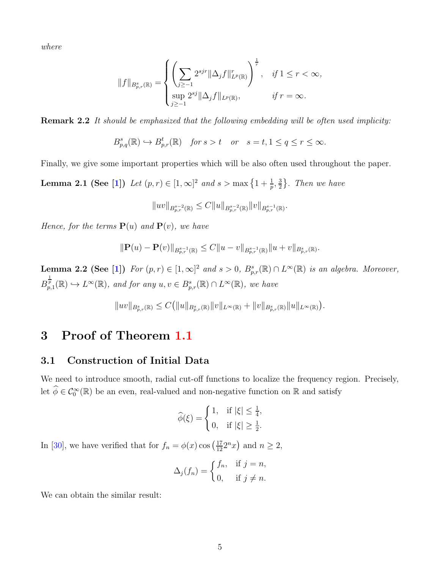where

$$
||f||_{B_{p,r}^s(\mathbb{R})} = \begin{cases} \left( \sum_{j \geq -1} 2^{sjr} ||\Delta_j f||_{L^p(\mathbb{R})}^r \right)^{\frac{1}{r}}, & \text{if } 1 \leq r < \infty, \\ \sup_{j \geq -1} 2^{sj} ||\Delta_j f||_{L^p(\mathbb{R})}, & \text{if } r = \infty. \end{cases}
$$

**Remark 2.2** It should be emphasized that the following embedding will be often used implicity:

$$
B_{p,q}^{s}(\mathbb{R}) \hookrightarrow B_{p,r}^{t}(\mathbb{R}) \quad \text{for } s > t \quad \text{or} \quad s = t, 1 \le q \le r \le \infty.
$$

Finally, we give some important properties which will be also often used throughout the paper.

**Lemma 2.1 (See [\[1\]](#page-12-16))** Let  $(p, r) \in [1, \infty]^2$  and  $s > \max\left\{1 + \frac{1}{p}, \frac{3}{2}\right\}$  $\frac{3}{2}$ . Then we have

<span id="page-4-3"></span>
$$
||uv||_{B_{p,r}^{s-2}(\mathbb{R})} \leq C||u||_{B_{p,r}^{s-2}(\mathbb{R})} ||v||_{B_{p,r}^{s-1}(\mathbb{R})}.
$$

Hence, for the terms  $P(u)$  and  $P(v)$ , we have

$$
\|\mathbf{P}(u)-\mathbf{P}(v)\|_{B^{s-1}_{p,r}(\mathbb{R})}\leq C\|u-v\|_{B^{s-1}_{p,r}(\mathbb{R})}\|u+v\|_{B^{s}_{p,r}(\mathbb{R})}.
$$

<span id="page-4-1"></span>**Lemma 2.2 (See [\[1\]](#page-12-16))** For  $(p, r) \in [1, \infty]^2$  and  $s > 0$ ,  $B_{p,r}^s(\mathbb{R}) \cap L^{\infty}(\mathbb{R})$  is an algebra. Moreover,  $B_{p,1}^{\frac{1}{p}}(\mathbb{R}) \hookrightarrow L^{\infty}(\mathbb{R})$ , and for any  $u, v \in B_{p,r}^{s}(\mathbb{R}) \cap L^{\infty}(\mathbb{R})$ , we have

$$
||uv||_{B_{p,r}^s(\mathbb{R})} \leq C(||u||_{B_{p,r}^s(\mathbb{R})} ||v||_{L^{\infty}(\mathbb{R})} + ||v||_{B_{p,r}^s(\mathbb{R})} ||u||_{L^{\infty}(\mathbb{R})}).
$$

### <span id="page-4-0"></span>3 Proof of Theorem [1.1](#page-2-1)

#### 3.1 Construction of Initial Data

We need to introduce smooth, radial cut-off functions to localize the frequency region. Precisely, let  $\widehat{\phi} \in C_0^{\infty}(\mathbb{R})$  be an even, real-valued and non-negative function on  $\mathbb{R}$  and satisfy

$$
\widehat{\phi}(\xi) = \begin{cases} 1, & \text{if } |\xi| \le \frac{1}{4}, \\ 0, & \text{if } |\xi| \ge \frac{1}{2}. \end{cases}
$$

In [\[30\]](#page-13-15), we have verified that for  $f_n = \phi(x) \cos\left(\frac{17}{12} 2^n x\right)$  and  $n \ge 2$ ,

<span id="page-4-2"></span>
$$
\Delta_j(f_n) = \begin{cases} f_n, & \text{if } j = n, \\ 0, & \text{if } j \neq n. \end{cases}
$$

We can obtain the similar result: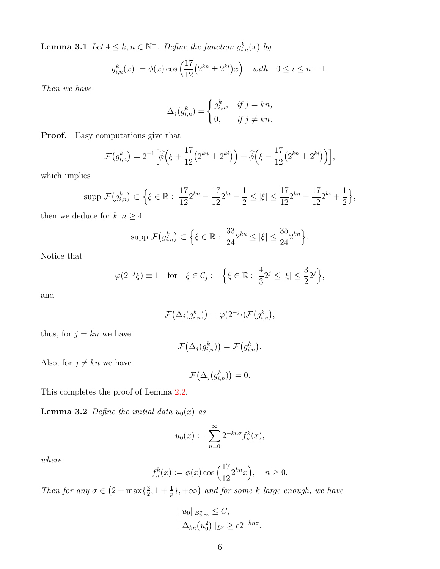**Lemma 3.1** Let  $4 \leq k, n \in \mathbb{N}^+$ . Define the function  $g_{i,n}^k(x)$  by

$$
g_{i,n}^k(x) := \phi(x) \cos\left(\frac{17}{12}(2^{kn} \pm 2^{ki})x\right)
$$
 with  $0 \le i \le n - 1$ .

Then we have

$$
\Delta_j(g_{i,n}^k) = \begin{cases} g_{i,n}^k, & \text{if } j = kn, \\ 0, & \text{if } j \neq kn. \end{cases}
$$

Proof. Easy computations give that

$$
\mathcal{F}(g_{i,n}^k) = 2^{-1} \Big[ \widehat{\phi}\Big( \xi + \frac{17}{12} \big( 2^{kn} \pm 2^{ki} \big) \Big) + \widehat{\phi}\Big( \xi - \frac{17}{12} \big( 2^{kn} \pm 2^{ki} \big) \Big) \Big],
$$

which implies

$$
\text{supp } \mathcal{F}(g_{i,n}^k) \subset \Big\{ \xi \in \mathbb{R} : \ \frac{17}{12} 2^{kn} - \frac{17}{12} 2^{ki} - \frac{1}{2} \leq |\xi| \leq \frac{17}{12} 2^{kn} + \frac{17}{12} 2^{ki} + \frac{1}{2} \Big\},\
$$

then we deduce for  $k, n \geq 4$ 

$$
\text{supp } \mathcal{F}(g_{i,n}^k) \subset \Big\{ \xi \in \mathbb{R} : \ \frac{33}{24} 2^{kn} \leq |\xi| \leq \frac{35}{24} 2^{kn} \Big\}.
$$

Notice that

$$
\varphi(2^{-j}\xi) \equiv 1 \quad \text{for} \quad \xi \in \mathcal{C}_j := \left\{ \xi \in \mathbb{R} : \frac{4}{3} 2^j \le |\xi| \le \frac{3}{2} 2^j \right\},\
$$

and

$$
\mathcal{F}\big(\Delta_j(g_{i,n}^k)\big)=\varphi(2^{-j}\cdot)\mathcal{F}\big(g_{i,n}^k\big),\,
$$

thus, for  $j = kn$  we have

$$
\mathcal{F}\big(\Delta_j(g_{i,n}^k)\big)=\mathcal{F}\big(g_{i,n}^k\big).
$$

Also, for  $j \neq kn$  we have

$$
\mathcal{F}\big(\Delta_j(g_{i,n}^k)\big)=0.
$$

<span id="page-5-0"></span>This completes the proof of Lemma [2.2.](#page-4-1)

**Lemma 3.2** Define the initial data  $u_0(x)$  as

$$
u_0(x) := \sum_{n=0}^{\infty} 2^{-kn\sigma} f_n^k(x),
$$

where

$$
f_n^k(x) := \phi(x) \cos\left(\frac{17}{12} 2^{kn} x\right), \quad n \ge 0.
$$

Then for any  $\sigma \in (2 + \max\{\frac{3}{2})$  $(\frac{3}{2}, 1 + \frac{1}{p}), +\infty)$  and for some k large enough, we have

$$
||u_0||_{B_{p,\infty}^{\sigma}} \leq C,
$$
  

$$
||\Delta_{kn}(u_0^2)||_{L^p} \geq c2^{-kn\sigma}.
$$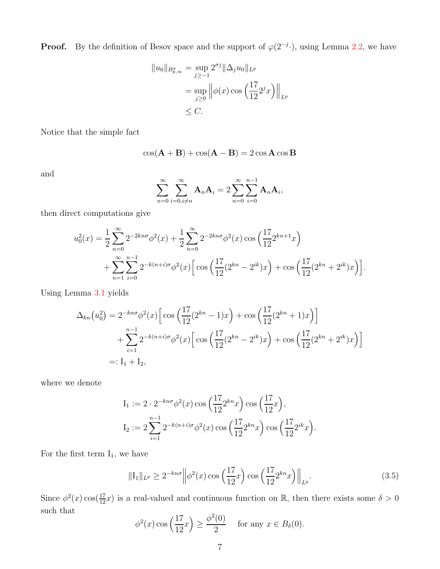**Proof.** By the definition of Besov space and the support of  $\varphi(2^{-j} \cdot)$ , using Lemma [2.2,](#page-4-1) we have

$$
||u_0||_{B_{p,\infty}^{\sigma}} = \sup_{j\geq -1} 2^{\sigma j} ||\Delta_j u_0||_{L^p}
$$
  
= 
$$
\sup_{j\geq 0} ||\phi(x)\cos\left(\frac{17}{12}2^j x\right)||_{L^p}
$$
  

$$
\leq C.
$$

Notice that the simple fact

$$
\cos(\mathbf{A} + \mathbf{B}) + \cos(\mathbf{A} - \mathbf{B}) = 2\cos\mathbf{A}\cos\mathbf{B}
$$

and

$$
\sum_{n=0}^{\infty} \sum_{i=0, i \neq n}^{\infty} \mathbf{A}_n \mathbf{A}_i = 2 \sum_{n=0}^{\infty} \sum_{i=0}^{n-1} \mathbf{A}_n \mathbf{A}_i,
$$

then direct computations give

$$
u_0^2(x) = \frac{1}{2} \sum_{n=0}^{\infty} 2^{-2kn\sigma} \phi^2(x) + \frac{1}{2} \sum_{n=0}^{\infty} 2^{-2kn\sigma} \phi^2(x) \cos\left(\frac{17}{12} 2^{kn+1} x\right) + \sum_{n=1}^{\infty} \sum_{i=0}^{n-1} 2^{-k(n+i)\sigma} \phi^2(x) \Big[ \cos\left(\frac{17}{12} (2^{kn} - 2^{ik}) x\right) + \cos\left(\frac{17}{12} (2^{kn} + 2^{ik}) x\right) \Big].
$$

Using Lemma [3.1](#page-4-2) yields

$$
\Delta_{kn}(u_0^2) = 2^{-kn\sigma} \phi^2(x) \Big[ \cos\left(\frac{17}{12}(2^{kn} - 1)x\right) + \cos\left(\frac{17}{12}(2^{kn} + 1)x\right) \Big] + \sum_{i=1}^{n-1} 2^{-k(n+i)\sigma} \phi^2(x) \Big[ \cos\left(\frac{17}{12}(2^{kn} - 2^{ik})x\right) + \cos\left(\frac{17}{12}(2^{kn} + 2^{ik})x\right) \Big] =: I_1 + I_2,
$$

where we denote

$$
I_1 := 2 \cdot 2^{-kn\sigma} \phi^2(x) \cos\left(\frac{17}{12} 2^{kn} x\right) \cos\left(\frac{17}{12} x\right),
$$
  
\n
$$
I_2 := 2 \sum_{i=1}^{n-1} 2^{-k(n+i)\sigma} \phi^2(x) \cos\left(\frac{17}{12} 2^{kn} x\right) \cos\left(\frac{17}{12} 2^{ik} x\right).
$$

For the first term  $I_1$ , we have

$$
\|\mathrm{I}_{1}\|_{L^{p}} \ge 2^{-kn\sigma} \left\|\phi^{2}(x)\cos\left(\frac{17}{12}x\right)\cos\left(\frac{17}{12}2^{kn}x\right)\right\|_{L^{p}}.
$$
\n(3.5)

Since  $\phi^2(x) \cos(\frac{17}{12}x)$  is a real-valued and continuous function on R, then there exists some  $\delta > 0$ such that

<span id="page-6-0"></span>
$$
\phi^2(x)\cos\left(\frac{17}{12}x\right) \ge \frac{\phi^2(0)}{2} \quad \text{for any } x \in B_\delta(0).
$$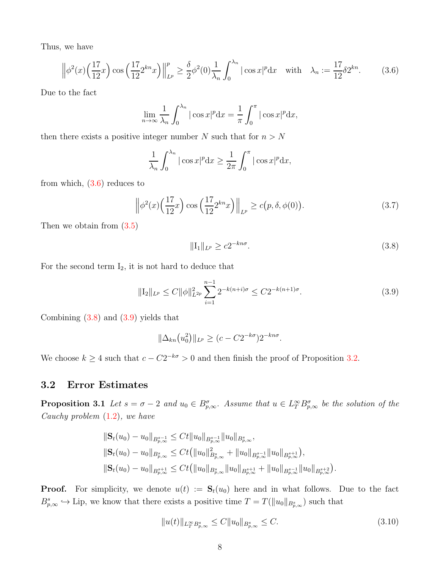Thus, we have

$$
\left\|\phi^{2}(x)\left(\frac{17}{12}x\right)\cos\left(\frac{17}{12}2^{kn}x\right)\right\|_{L^{p}}^{p} \geq \frac{\delta}{2}\phi^{2}(0)\frac{1}{\lambda_{n}}\int_{0}^{\lambda_{n}}|\cos x|^{p}dx \quad \text{with} \quad \lambda_{n} := \frac{17}{12}\delta 2^{kn}.\tag{3.6}
$$

Due to the fact

<span id="page-7-0"></span>
$$
\lim_{n \to \infty} \frac{1}{\lambda_n} \int_0^{\lambda_n} |\cos x|^p \mathrm{d}x = \frac{1}{\pi} \int_0^{\pi} |\cos x|^p \mathrm{d}x,
$$

then there exists a positive integer number N such that for  $n > N$ 

$$
\frac{1}{\lambda_n} \int_0^{\lambda_n} |\cos x|^p \mathrm{d}x \ge \frac{1}{2\pi} \int_0^{\pi} |\cos x|^p \mathrm{d}x,
$$

from which,  $(3.6)$  reduces to

$$
\left\| \phi^2(x) \left( \frac{17}{12} x \right) \cos \left( \frac{17}{12} 2^{kn} x \right) \right\|_{L^p} \ge c(p, \delta, \phi(0)). \tag{3.7}
$$

Then we obtain from  $(3.5)$ 

<span id="page-7-2"></span><span id="page-7-1"></span>
$$
||I_1||_{L^p} \ge c2^{-kn\sigma}.
$$
\n(3.8)

For the second term  $I_2$ , it is not hard to deduce that

$$
\|\mathcal{I}_2\|_{L^p} \le C \|\phi\|_{L^{2p}}^2 \sum_{i=1}^{n-1} 2^{-k(n+i)\sigma} \le C 2^{-k(n+1)\sigma}.
$$
\n(3.9)

Combining  $(3.8)$  and  $(3.9)$  yields that

$$
\|\Delta_{kn}(u_0^2)\|_{L^p} \ge (c - C2^{-k\sigma})2^{-kn\sigma}.
$$

<span id="page-7-4"></span>We choose  $k \geq 4$  such that  $c - C2^{-k\sigma} > 0$  and then finish the proof of Proposition [3.2.](#page-8-0)

#### <span id="page-7-3"></span>3.2 Error Estimates

**Proposition 3.1** Let  $s = \sigma - 2$  and  $u_0 \in B^{\sigma}_{p,\infty}$ . Assume that  $u \in L^{\infty}_{T} B^{\sigma}_{p,\infty}$  be the solution of the Cauchy problem [\(1.2\)](#page-2-0), we have

$$
\begin{aligned}\n\|\mathbf{S}_t(u_0) - u_0\|_{B^{s-1}_{p,\infty}} &\leq C t \|u_0\|_{B^{s-1}_{p,\infty}} \|u_0\|_{B^{s}_{p,\infty}}, \\
\|\mathbf{S}_t(u_0) - u_0\|_{B^{s}_{p,\infty}} &\leq C t \big( \|u_0\|_{B^{s}_{p,\infty}}^2 + \|u_0\|_{B^{s-1}_{p,\infty}} \|u_0\|_{B^{s+1}_{p,\infty}} \big), \\
\|\mathbf{S}_t(u_0) - u_0\|_{B^{s+1}_{p,\infty}} &\leq C t \big( \|u_0\|_{B^{s}_{p,\infty}} \|u_0\|_{B^{s+1}_{p,\infty}} + \|u_0\|_{B^{s-1}_{p,\infty}} \|u_0\|_{B^{s+2}_{p,\infty}} \big).\n\end{aligned}
$$

**Proof.** For simplicity, we denote  $u(t) := \mathbf{S}_t(u_0)$  here and in what follows. Due to the fact  $B_{p,\infty}^s \hookrightarrow \text{Lip}$ , we know that there exists a positive time  $T = T(||u_0||_{B_{p,\infty}^s})$  such that

$$
||u(t)||_{L^{\infty}_{T}B^{s}_{p,\infty}} \leq C||u_0||_{B^{s}_{p,\infty}} \leq C.
$$
\n(3.10)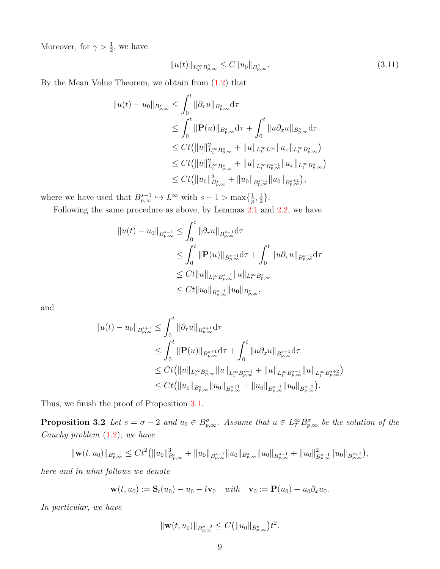Moreover, for  $\gamma > \frac{1}{2}$ , we have

$$
||u(t)||_{L_T^{\infty}B_{p,\infty}^{\gamma}} \leq C||u_0||_{B_{p,\infty}^{\gamma}}.
$$
\n(3.11)

By the Mean Value Theorem, we obtain from [\(1.2\)](#page-2-0) that

$$
||u(t) - u_0||_{B_{p,\infty}^s} \leq \int_0^t ||\partial_\tau u||_{B_{p,\infty}^s} d\tau
$$
  
\n
$$
\leq \int_0^t ||\mathbf{P}(u)||_{B_{p,\infty}^s} d\tau + \int_0^t ||u \partial_x u||_{B_{p,\infty}^s} d\tau
$$
  
\n
$$
\leq Ct(||u||_{L_t^\infty B_{p,\infty}^s}^2 + ||u||_{L_t^\infty L^\infty} ||u_x||_{L_t^\infty B_{p,\infty}^s})
$$
  
\n
$$
\leq Ct(||u||_{L_t^\infty B_{p,\infty}^s}^2 + ||u||_{L_t^\infty B_{p,\infty}^{s-1}} ||u_x||_{L_t^\infty B_{p,\infty}^s})
$$
  
\n
$$
\leq Ct(||u_0||_{B_{p,\infty}^s}^2 + ||u_0||_{B_{p,\infty}^{s-1}} ||u_0||_{B_{p,\infty}^{s+1}}),
$$

where we have used that  $B_{p,\infty}^{s-1} \hookrightarrow L^{\infty}$  with  $s-1 > \max\{\frac{1}{p}\}$  $\frac{1}{p},\frac{1}{2}$  $\frac{1}{2}$ .

Following the same procedure as above, by Lemmas [2.1](#page-4-3) and [2.2,](#page-4-1) we have

$$
||u(t) - u_0||_{B^{s-1}_{p,\infty}} \leq \int_0^t ||\partial_\tau u||_{B^{s-1}_{p,\infty}} d\tau
$$
  
\n
$$
\leq \int_0^t ||\mathbf{P}(u)||_{B^{s-1}_{p,\infty}} d\tau + \int_0^t ||u \partial_x u||_{B^{s-1}_{p,\infty}} d\tau
$$
  
\n
$$
\leq Ct ||u||_{L^\infty_t B^{s-1}_{p,\infty}} ||u||_{L^\infty_t B^s_{p,\infty}}
$$
  
\n
$$
\leq Ct ||u_0||_{B^{s-1}_{p,\infty}} ||u_0||_{B^s_{p,\infty}},
$$

and

$$
\|u(t) - u_0\|_{B^{s+1}_{p,\infty}} \leq \int_0^t \|\partial_\tau u\|_{B^{s+1}_{p,\infty}} d\tau
$$
  
\n
$$
\leq \int_0^t \|\mathbf{P}(u)\|_{B^{s+1}_{p,\infty}} d\tau + \int_0^t \|u \partial_x u\|_{B^{s+1}_{p,\infty}} d\tau
$$
  
\n
$$
\leq Ct (\|u\|_{L^\infty_t B^s_{p,\infty}} \|u\|_{L^\infty_t B^{s+1}_{p,\infty}} + \|u\|_{L^\infty_t B^{s-1}_{p,\infty}} \|u\|_{L^\infty_t B^{s+2}_{p,\infty}})
$$
  
\n
$$
\leq Ct (\|u_0\|_{B^s_{p,\infty}} \|u_0\|_{B^{s+1}_{p,\infty}} + \|u_0\|_{B^{s-1}_{p,\infty}} \|u_0\|_{B^{s+2}_{p,\infty}}).
$$

<span id="page-8-0"></span>Thus, we finish the proof of Proposition [3.1.](#page-7-3)

**Proposition 3.2** Let  $s = \sigma - 2$  and  $u_0 \in B_{p,\infty}^{\sigma}$ . Assume that  $u \in L^{\infty}_{T} B_{p,\infty}^{\sigma}$  be the solution of the Cauchy problem [\(1.2\)](#page-2-0), we have

$$
\|\mathbf{w}(t,u_0)\|_{B_{p,\infty}^s} \leq C t^2 \big( \|u_0\|_{B_{p,\infty}^s}^3 + \|u_0\|_{B_{p,\infty}^{s-1}} \|u_0\|_{B_{p,\infty}^s} \|u_0\|_{B_{p,\infty}^{s+1}} + \|u_0\|_{B_{p,\infty}^{s-1}}^2 \|u_0\|_{B_{p,\infty}^{s+2}} \big),
$$

here and in what follows we denote

$$
\mathbf{w}(t,u_0) := \mathbf{S}_t(u_0) - u_0 - t\mathbf{v}_0 \quad \text{with} \quad \mathbf{v}_0 := \mathbf{P}(u_0) - u_0 \partial_x u_0.
$$

In particular, we have

$$
\|\mathbf{w}(t,u_0)\|_{B^{\sigma-2}_{p,\infty}} \leq C(\|u_0\|_{B^{\sigma}_{p,\infty}})t^2.
$$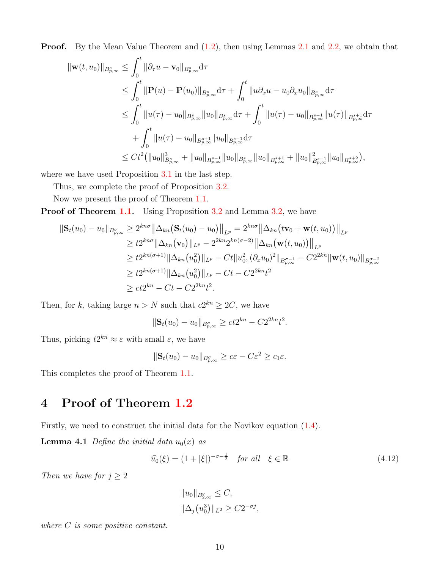**Proof.** By the Mean Value Theorem and  $(1.2)$ , then using Lemmas [2.1](#page-4-3) and [2.2,](#page-4-1) we obtain that

$$
\begin{split} \|\mathbf{w}(t,u_0)\|_{B^s_{p,\infty}} &\leq \int_0^t \|\partial_\tau u - \mathbf{v}_0\|_{B^s_{p,\infty}} \mathrm{d}\tau \\ &\leq \int_0^t \|\mathbf{P}(u) - \mathbf{P}(u_0)\|_{B^s_{p,\infty}} \mathrm{d}\tau + \int_0^t \|u \partial_x u - u_0 \partial_x u_0\|_{B^s_{p,\infty}} \mathrm{d}\tau \\ &\leq \int_0^t \|u(\tau) - u_0\|_{B^s_{p,\infty}} \|u_0\|_{B^s_{p,\infty}} \mathrm{d}\tau + \int_0^t \|u(\tau) - u_0\|_{B^{s-1}_{p,\infty}} \|u(\tau)\|_{B^{s+1}_{p,\infty}} \mathrm{d}\tau \\ &\quad + \int_0^t \|u(\tau) - u_0\|_{B^{s+1}_{p,\infty}} \|u_0\|_{B^{s-1}_{p,\infty}} \mathrm{d}\tau \\ &\leq Ct^2 \big( \|u_0\|_{B^s_{p,\infty}}^3 + \|u_0\|_{B^{s-1}_{p,\infty}} \|u_0\|_{B^{s+1}_{p,\infty}} + \|u_0\|_{B^{s-1}_{p,\infty}}^2 \|u_0\|_{B^{s-1}_{p,\infty}} \big) \end{split}
$$

where we have used Proposition [3.1](#page-7-3) in the last step.

Thus, we complete the proof of Proposition [3.2.](#page-8-0)

Now we present the proof of Theorem [1.1.](#page-2-1)

Proof of Theorem [1.1.](#page-2-1) Using Proposition [3.2](#page-8-0) and Lemma [3.2,](#page-5-0) we have

$$
\begin{split} \|\mathbf{S}_{t}(u_{0})-u_{0}\|_{B_{p,\infty}^{\sigma}} &\geq 2^{kn\sigma}\left\|\Delta_{kn}\big(\mathbf{S}_{t}(u_{0})-u_{0}\big)\right\|_{L^{p}} = 2^{kn\sigma}\left\|\Delta_{kn}\big(t\mathbf{v}_{0}+\mathbf{w}(t,u_{0})\big)\right\|_{L^{p}} \\ &\geq t2^{kn\sigma}\|\Delta_{kn}\big(\mathbf{v}_{0}\big)\|_{L^{p}} - 2^{2kn}2^{kn(\sigma-2)}\left\|\Delta_{kn}\big(\mathbf{w}(t,u_{0})\big)\right\|_{L^{p}} \\ &\geq t2^{kn(\sigma+1)}\|\Delta_{kn}\big(u_{0}^{2}\big)\|_{L^{p}} - Ct\|u_{0}^{2},(\partial_{x}u_{0})^{2}\|_{B_{p,\infty}^{\sigma-1}} - C2^{2kn}\|\mathbf{w}(t,u_{0})\|_{B_{p,\infty}^{\sigma-2}} \\ &\geq t2^{kn(\sigma+1)}\|\Delta_{kn}\big(u_{0}^{2}\big)\|_{L^{p}} - Ct - C2^{2kn}t^{2} \\ &\geq ct2^{kn} - Ct - C2^{2kn}t^{2} .\end{split}
$$

Then, for k, taking large  $n > N$  such that  $c2^{kn} \geq 2C$ , we have

$$
\|\mathbf{S}_t(u_0) - u_0\|_{B_{p,\infty}^{\sigma}} \ge ct2^{kn} - C2^{2kn}t^2.
$$

Thus, picking  $t2^{kn} \approx \varepsilon$  with small  $\varepsilon$ , we have

$$
\|\mathbf{S}_t(u_0) - u_0\|_{B_{p,\infty}^{\sigma}} \ge c\varepsilon - C\varepsilon^2 \ge c_1\varepsilon.
$$

<span id="page-9-1"></span>This completes the proof of Theorem [1.1.](#page-2-1)

## 4 Proof of Theorem [1.2](#page-2-3)

Firstly, we need to construct the initial data for the Novikov equation [\(1.4\)](#page-2-2).

**Lemma 4.1** Define the initial data  $u_0(x)$  as

$$
\widehat{u_0}(\xi) = (1 + |\xi|)^{-\sigma - \frac{1}{2}} \quad \text{for all} \quad \xi \in \mathbb{R} \tag{4.12}
$$

Then we have for  $j \geq 2$ 

<span id="page-9-2"></span><span id="page-9-0"></span>
$$
||u_0||_{B_{2,\infty}^{\sigma}} \leq C,
$$
  

$$
||\Delta_j(u_0^3)||_{L^2} \geq C2^{-\sigma j},
$$

where C is some positive constant.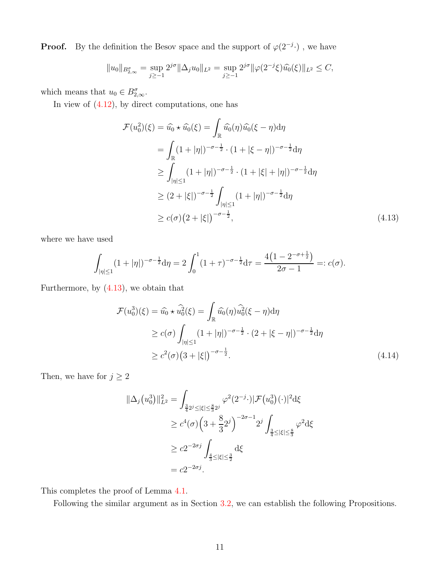**Proof.** By the definition the Besov space and the support of  $\varphi(2^{-j})$ , we have

$$
||u_0||_{B_{2,\infty}^{\sigma}} = \sup_{j\geq -1} 2^{j\sigma} ||\Delta_j u_0||_{L^2} = \sup_{j\geq -1} 2^{j\sigma} ||\varphi(2^{-j}\xi)\widehat{u_0}(\xi)||_{L^2} \leq C,
$$

which means that  $u_0 \in B^{\sigma}_{2,\infty}$ .

In view of  $(4.12)$ , by direct computations, one has

<span id="page-10-0"></span>
$$
\mathcal{F}(u_0^2)(\xi) = \hat{u}_0 \star \hat{u}_0(\xi) = \int_{\mathbb{R}} \hat{u}_0(\eta) \hat{u}_0(\xi - \eta) d\eta
$$
  
\n
$$
= \int_{\mathbb{R}} (1 + |\eta|)^{-\sigma - \frac{1}{2}} \cdot (1 + |\xi - \eta|)^{-\sigma - \frac{1}{2}} d\eta
$$
  
\n
$$
\geq \int_{|\eta| \leq 1} (1 + |\eta|)^{-\sigma - \frac{1}{2}} \cdot (1 + |\xi| + |\eta|)^{-\sigma - \frac{1}{2}} d\eta
$$
  
\n
$$
\geq (2 + |\xi|)^{-\sigma - \frac{1}{2}} \int_{|\eta| \leq 1} (1 + |\eta|)^{-\sigma - \frac{1}{2}} d\eta
$$
  
\n
$$
\geq c(\sigma) (2 + |\xi|)^{-\sigma - \frac{1}{2}}, \qquad (4.13)
$$

where we have used

$$
\int_{|\eta| \le 1} (1 + |\eta|)^{-\sigma - \frac{1}{2}} d\eta = 2 \int_0^1 (1 + \tau)^{-\sigma - \frac{1}{2}} d\tau = \frac{4(1 - 2^{-\sigma + \frac{1}{2}})}{2\sigma - 1} =: c(\sigma).
$$

Furthermore, by [\(4.13\)](#page-10-0), we obtain that

$$
\mathcal{F}(u_0^3)(\xi) = \hat{u}_0 \star \hat{u}_0^2(\xi) = \int_{\mathbb{R}} \hat{u}_0(\eta) \hat{u}_0^2(\xi - \eta) d\eta
$$
  
\n
$$
\geq c(\sigma) \int_{|\eta| \leq 1} (1 + |\eta|)^{-\sigma - \frac{1}{2}} \cdot (2 + |\xi - \eta|)^{-\sigma - \frac{1}{2}} d\eta
$$
  
\n
$$
\geq c^2(\sigma) (3 + |\xi|)^{-\sigma - \frac{1}{2}}.
$$
\n(4.14)

Then, we have for  $j\geq 2$ 

<span id="page-10-1"></span>
$$
\|\Delta_j(u_0^3)\|_{L^2}^2 = \int_{\frac{3}{4}2^j \leq |\xi| \leq \frac{8}{3}2^j} \varphi^2(2^{-j} \cdot) |\mathcal{F}(u_0^3)(\cdot)|^2 d\xi
$$
  
\n
$$
\geq c^4(\sigma) \Big(3 + \frac{8}{3}2^j\Big)^{-2\sigma - 1} 2^j \int_{\frac{3}{4} \leq |\xi| \leq \frac{8}{3}} \varphi^2 d\xi
$$
  
\n
$$
\geq c2^{-2\sigma j} \int_{\frac{4}{3} \leq |\xi| \leq \frac{3}{2}} d\xi
$$
  
\n
$$
= c2^{-2\sigma j}.
$$

This completes the proof of Lemma [4.1.](#page-9-0)

Following the similar argument as in Section [3.2,](#page-7-4) we can establish the following Propositions.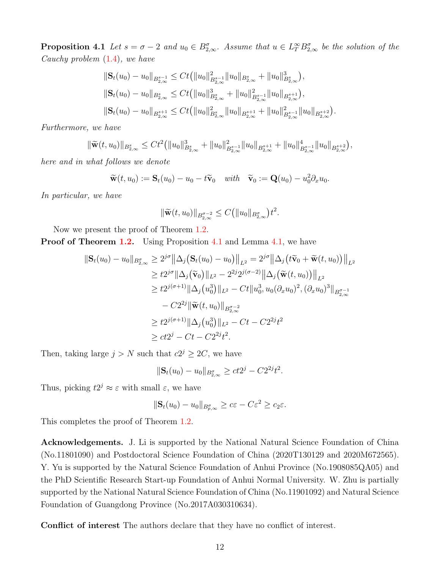**Proposition 4.1** Let  $s = \sigma - 2$  and  $u_0 \in B_{2,\infty}^{\sigma}$ . Assume that  $u \in L^{\infty}_{T} B_{2,\infty}^{\sigma}$  be the solution of the Cauchy problem [\(1.4\)](#page-2-2), we have

$$
\begin{aligned} &\|\mathbf{S}_{t}(u_{0})-u_{0}\|_{B^{s-1}_{2,\infty}}\leq Ct\big(\|u_{0}\|^{2}_{B^{s-1}_{2,\infty}}\|u_{0}\|_{B^{s}_{2,\infty}}+\|u_{0}\|^{3}_{B^{s}_{2,\infty}}\big),\\ &\|\mathbf{S}_{t}(u_{0})-u_{0}\|_{B^{s}_{2,\infty}}\leq Ct\big(\|u_{0}\|^{3}_{B^{s}_{2,\infty}}+\|u_{0}\|^{2}_{B^{s-1}_{2,\infty}}\|u_{0}\|_{B^{s+1}_{2,\infty}}\big),\\ &\|\mathbf{S}_{t}(u_{0})-u_{0}\|_{B^{s+1}_{2,\infty}}\leq Ct\big(\|u_{0}\|^{2}_{B^{s}_{2,\infty}}\|u_{0}\|_{B^{s+1}_{2,\infty}}+\|u_{0}\|^{2}_{B^{s-1}_{2,\infty}}\|u_{0}\|_{B^{s+2}_{2,\infty}}\big) \end{aligned}
$$

.

Furthermore, we have

$$
\|\widetilde{\mathbf{w}}(t,u_0)\|_{B_{2,\infty}^s} \leq C t^2 \big( \|u_0\|_{B_{2,\infty}^s}^3 + \|u_0\|_{B_{2,\infty}^{s-1}}^2 \|u_0\|_{B_{2,\infty}^{s+1}} + \|u_0\|_{B_{2,\infty}^{s-1}}^4 \|u_0\|_{B_{2,\infty}^{s+2}} \big),
$$

here and in what follows we denote

$$
\widetilde{\mathbf{w}}(t,u_0) := \mathbf{S}_t(u_0) - u_0 - t\widetilde{\mathbf{v}}_0 \quad \text{with} \quad \widetilde{\mathbf{v}}_0 := \mathbf{Q}(u_0) - u_0^2 \partial_x u_0.
$$

In particular, we have

$$
\|\widetilde{\mathbf{w}}(t,u_0)\|_{B^{\sigma-2}_{2,\infty}} \leq C(\|u_0\|_{B^{\sigma}_{2,\infty}})t^2.
$$

Now we present the proof of Theorem [1.2.](#page-2-3)

Proof of Theorem [1.2.](#page-2-3) Using Proposition [4.1](#page-10-1) and Lemma [4.1,](#page-9-0) we have

$$
\begin{split} \|\mathbf{S}_{t}(u_{0})-u_{0}\|_{B_{2,\infty}^{q}} &\geq 2^{j\sigma}\left\|\Delta_{j}\left(\mathbf{S}_{t}(u_{0})-u_{0}\right)\right\|_{L^{2}} = 2^{j\sigma}\left\|\Delta_{j}\left(t\widetilde{\mathbf{v}}_{0}+\widetilde{\mathbf{w}}(t,u_{0})\right)\right\|_{L^{2}} \\ &\geq t2^{j\sigma}\|\Delta_{j}\left(\widetilde{\mathbf{v}}_{0}\right)\|_{L^{2}} - 2^{2j}2^{j(\sigma-2)}\left\|\Delta_{j}\left(\widetilde{\mathbf{w}}(t,u_{0})\right)\right\|_{L^{2}} \\ &\geq t2^{j(\sigma+1)}\|\Delta_{j}\left(u_{0}^{3}\right)\|_{L^{2}} - Ct\|u_{0}^{3}, u_{0}(\partial_{x}u_{0})^{2}, (\partial_{x}u_{0})^{3}\|_{B_{2,\infty}^{\sigma-1}} \\ &- C2^{2j}\|\widetilde{\mathbf{w}}(t,u_{0})\|_{B_{2,\infty}^{\sigma-2}} \\ &\geq t2^{j(\sigma+1)}\|\Delta_{j}\left(u_{0}^{3}\right)\|_{L^{2}} - Ct - C2^{2j}t^{2} \\ &\geq ct2^{j} - Ct - C2^{2j}t^{2} .\end{split}
$$

Then, taking large  $j > N$  such that  $c2^j \geq 2C$ , we have

$$
\|\mathbf{S}_t(u_0) - u_0\|_{B_{2,\infty}^{\sigma}} \ge ct2^j - C2^{2j}t^2.
$$

Thus, picking  $t2^j \approx \varepsilon$  with small  $\varepsilon$ , we have

$$
\|\mathbf{S}_t(u_0) - u_0\|_{B_{p,\infty}^{\sigma}} \ge c\varepsilon - C\varepsilon^2 \ge c_2\varepsilon.
$$

This completes the proof of Theorem [1.2.](#page-2-3)

Acknowledgements. J. Li is supported by the National Natural Science Foundation of China (No.11801090) and Postdoctoral Science Foundation of China (2020T130129 and 2020M672565). Y. Yu is supported by the Natural Science Foundation of Anhui Province (No.1908085QA05) and the PhD Scientific Research Start-up Foundation of Anhui Normal University. W. Zhu is partially supported by the National Natural Science Foundation of China (No.11901092) and Natural Science Foundation of Guangdong Province (No.2017A030310634).

Conflict of interest The authors declare that they have no conflict of interest.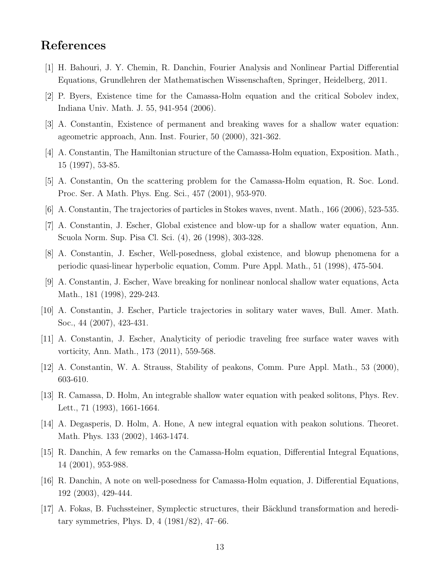## <span id="page-12-16"></span>References

- <span id="page-12-14"></span>[1] H. Bahouri, J. Y. Chemin, R. Danchin, Fourier Analysis and Nonlinear Partial Differential Equations, Grundlehren der Mathematischen Wissenschaften, Springer, Heidelberg, 2011.
- <span id="page-12-5"></span>[2] P. Byers, Existence time for the Camassa-Holm equation and the critical Sobolev index, Indiana Univ. Math. J. 55, 941-954 (2006).
- <span id="page-12-3"></span>[3] A. Constantin, Existence of permanent and breaking waves for a shallow water equation: ageometric approach, Ann. Inst. Fourier, 50 (2000), 321-362.
- <span id="page-12-2"></span>[4] A. Constantin, The Hamiltonian structure of the Camassa-Holm equation, Exposition. Math., 15 (1997), 53-85.
- <span id="page-12-8"></span>[5] A. Constantin, On the scattering problem for the Camassa-Holm equation, R. Soc. Lond. Proc. Ser. A Math. Phys. Eng. Sci., 457 (2001), 953-970.
- <span id="page-12-11"></span>[6] A. Constantin, The trajectories of particles in Stokes waves, nvent. Math., 166 (2006), 523-535.
- <span id="page-12-6"></span>[7] A. Constantin, J. Escher, Global existence and blow-up for a shallow water equation, Ann. Scuola Norm. Sup. Pisa Cl. Sci. (4), 26 (1998), 303-328.
- <span id="page-12-7"></span>[8] A. Constantin, J. Escher, Well-posedness, global existence, and blowup phenomena for a periodic quasi-linear hyperbolic equation, Comm. Pure Appl. Math., 51 (1998), 475-504.
- <span id="page-12-9"></span>[9] A. Constantin, J. Escher, Wave breaking for nonlinear nonlocal shallow water equations, Acta Math., 181 (1998), 229-243.
- <span id="page-12-10"></span>[10] A. Constantin, J. Escher, Particle trajectories in solitary water waves, Bull. Amer. Math. Soc., 44 (2007), 423-431.
- <span id="page-12-4"></span>[11] A. Constantin, J. Escher, Analyticity of periodic traveling free surface water waves with vorticity, Ann. Math., 173 (2011), 559-568.
- <span id="page-12-1"></span>[12] A. Constantin, W. A. Strauss, Stability of peakons, Comm. Pure Appl. Math., 53 (2000), 603-610.
- <span id="page-12-15"></span>[13] R. Camassa, D. Holm, An integrable shallow water equation with peaked solitons, Phys. Rev. Lett., 71 (1993), 1661-1664.
- <span id="page-12-12"></span>[14] A. Degasperis, D. Holm, A. Hone, A new integral equation with peakon solutions. Theoret. Math. Phys. 133 (2002), 1463-1474.
- <span id="page-12-13"></span>[15] R. Danchin, A few remarks on the Camassa-Holm equation, Differential Integral Equations, 14 (2001), 953-988.
- <span id="page-12-0"></span>[16] R. Danchin, A note on well-posedness for Camassa-Holm equation, J. Differential Equations, 192 (2003), 429-444.
- [17] A. Fokas, B. Fuchssteiner, Symplectic structures, their Bäcklund transformation and hereditary symmetries, Phys. D, 4 (1981/82), 47–66.